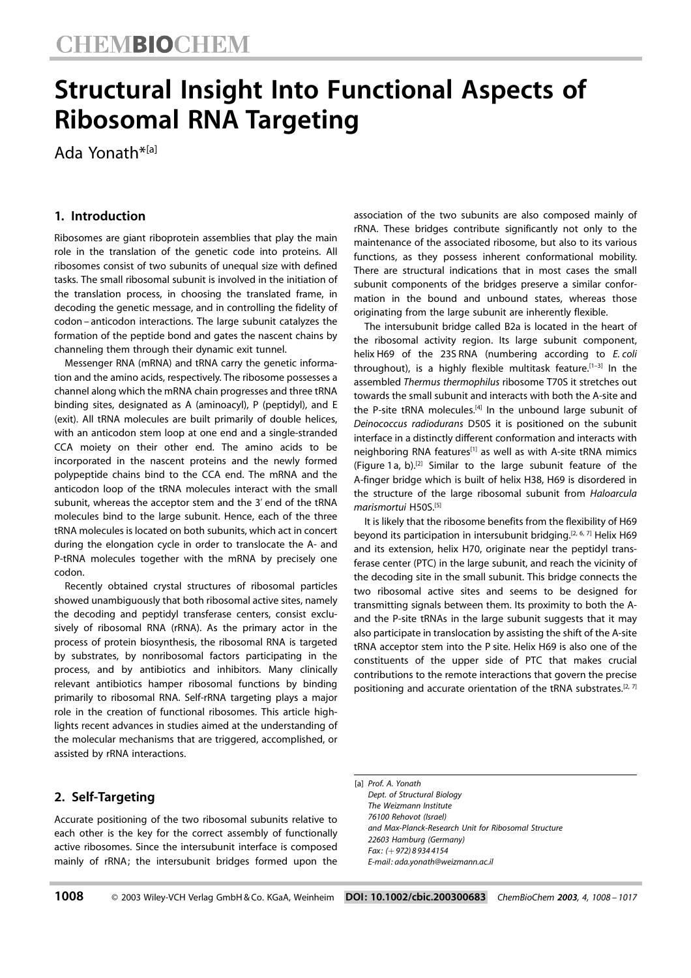# Structural Insight Into Functional Aspects of Ribosomal RNA Targeting

Ada Yonath\*[a]

#### 1. Introduction

Ribosomes are giant riboprotein assemblies that play the main role in the translation of the genetic code into proteins. All ribosomes consist of two subunits of unequal size with defined tasks. The small ribosomal subunit is involved in the initiation of the translation process, in choosing the translated frame, in decoding the genetic message, and in controlling the fidelity of codon - anticodon interactions. The large subunit catalyzes the formation of the peptide bond and gates the nascent chains by channeling them through their dynamic exit tunnel.

Messenger RNA (mRNA) and tRNA carry the genetic information and the amino acids, respectively. The ribosome possesses a channel along which the mRNA chain progresses and three tRNA binding sites, designated as A (aminoacyl), P (peptidyl), and E (exit). All tRNA molecules are built primarily of double helices, with an anticodon stem loop at one end and a single-stranded CCA moiety on their other end. The amino acids to be incorporated in the nascent proteins and the newly formed polypeptide chains bind to the CCA end. The mRNA and the anticodon loop of the tRNA molecules interact with the small subunit, whereas the acceptor stem and the 3' end of the tRNA molecules bind to the large subunit. Hence, each of the three tRNA molecules is located on both subunits, which act in concert during the elongation cycle in order to translocate the A- and P-tRNA molecules together with the mRNA by precisely one codon.

Recently obtained crystal structures of ribosomal particles showed unambiguously that both ribosomal active sites, namely the decoding and peptidyl transferase centers, consist exclusively of ribosomal RNA (rRNA). As the primary actor in the process of protein biosynthesis, the ribosomal RNA is targeted by substrates, by nonribosomal factors participating in the process, and by antibiotics and inhibitors. Many clinically relevant antibiotics hamper ribosomal functions by binding primarily to ribosomal RNA. Self-rRNA targeting plays a major role in the creation of functional ribosomes. This article highlights recent advances in studies aimed at the understanding of the molecular mechanisms that are triggered, accomplished, or assisted by rRNA interactions.

association of the two subunits are also composed mainly of rRNA. These bridges contribute significantly not only to the maintenance of the associated ribosome, but also to its various functions, as they possess inherent conformational mobility. There are structural indications that in most cases the small subunit components of the bridges preserve a similar conformation in the bound and unbound states, whereas those originating from the large subunit are inherently flexible.

The intersubunit bridge called B2a is located in the heart of the ribosomal activity region. Its large subunit component, helix H69 of the 23S RNA (numbering according to E. coli throughout), is a highly flexible multitask feature.<sup>[1-3]</sup> In the assembled Thermus thermophilus ribosome T70S it stretches out towards the small subunit and interacts with both the A-site and the P-site tRNA molecules.<sup>[4]</sup> In the unbound large subunit of Deinococcus radiodurans D50S it is positioned on the subunit interface in a distinctly different conformation and interacts with neighboring RNA features<sup>[1]</sup> as well as with A-site tRNA mimics (Figure 1 a, b).<sup>[2]</sup> Similar to the large subunit feature of the A-finger bridge which is built of helix H38, H69 is disordered in the structure of the large ribosomal subunit from Haloarcula marismortui H50S.<sup>[5]</sup>

It is likely that the ribosome benefits from the flexibility of H69 beyond its participation in intersubunit bridging.<sup>[2, 6, 7]</sup> Helix H69 and its extension, helix H70, originate near the peptidyl transferase center (PTC) in the large subunit, and reach the vicinity of the decoding site in the small subunit. This bridge connects the two ribosomal active sites and seems to be designed for transmitting signals between them. Its proximity to both the Aand the P-site tRNAs in the large subunit suggests that it may also participate in translocation by assisting the shift of the A-site tRNA acceptor stem into the P site. Helix H69 is also one of the constituents of the upper side of PTC that makes crucial contributions to the remote interactions that govern the precise positioning and accurate orientation of the tRNA substrates.<sup>[2, 7]</sup>

### 2. Self-Targeting

Accurate positioning of the two ribosomal subunits relative to each other is the key for the correct assembly of functionally active ribosomes. Since the intersubunit interface is composed mainly of rRNA; the intersubunit bridges formed upon the [a] Prof. A. Yonath Dept. of Structural Biology The Weizmann Institute 76100 Rehovot (Israel) and Max-Planck-Research Unit for Ribosomal Structure 22603 Hamburg (Germany)  $Fax: (+972) 8 934 4154$ E-mail: ada.yonath@weizmann.ac.il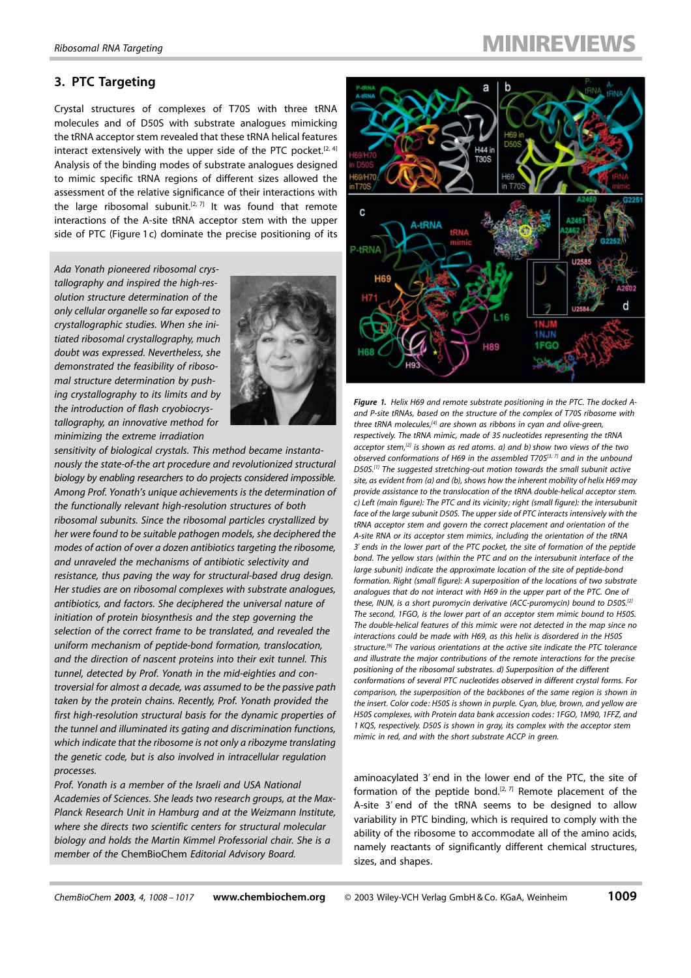## **MINIREVIEWS**

### 3. PTC Targeting

Crystal structures of complexes of T70S with three tRNA molecules and of D50S with substrate analogues mimicking the tRNA acceptor stem revealed that these tRNA helical features interact extensively with the upper side of the PTC pocket.<sup>[2, 4]</sup> Analysis of the binding modes of substrate analogues designed to mimic specific tRNA regions of different sizes allowed the assessment of the relative significance of their interactions with the large ribosomal subunit.<sup>[2, 7]</sup> It was found that remote interactions of the A-site tRNA acceptor stem with the upper side of PTC (Figure 1 c) dominate the precise positioning of its

Ada Yonath pioneered ribosomal crystallography and inspired the high-resolution structure determination of the only cellular organelle so far exposed to crystallographic studies. When she initiated ribosomal crystallography, much doubt was expressed. Nevertheless, she demonstrated the feasibility of ribosomal structure determination by pushing crystallography to its limits and by the introduction of flash cryobiocrystallography, an innovative method for minimizing the extreme irradiation



sensitivity of biological crystals. This method became instantanously the state-of-the art procedure and revolutionized structural biology by enabling researchers to do projects considered impossible. Among Prof. Yonath's unique achievements is the determination of the functionally relevant high-resolution structures of both ribosomal subunits. Since the ribosomal particles crystallized by her were found to be suitable pathogen models, she deciphered the modes of action of over a dozen antibiotics targeting the ribosome, and unraveled the mechanisms of antibiotic selectivity and resistance, thus paving the way for structural-based drug design. Her studies are on ribosomal complexes with substrate analogues, antibiotics, and factors. She deciphered the universal nature of initiation of protein biosynthesis and the step governing the selection of the correct frame to be translated, and revealed the uniform mechanism of peptide-bond formation, translocation, and the direction of nascent proteins into their exit tunnel. This tunnel, detected by Prof. Yonath in the mid-eighties and controversial for almost a decade, was assumed to be the passive path taken by the protein chains. Recently, Prof. Yonath provided the first high-resolution structural basis for the dynamic properties of the tunnel and illuminated its gating and discrimination functions, which indicate that the ribosome is not only a ribozyme translating the genetic code, but is also involved in intracellular regulation processes.

Prof. Yonath is a member of the Israeli and USA National Academies of Sciences. She leads two research groups, at the Max-Planck Research Unit in Hamburg and at the Weizmann Institute, where she directs two scientific centers for structural molecular biology and holds the Martin Kimmel Professorial chair. She is a member of the ChemBioChem Editorial Advisory Board.



Figure 1. Helix H69 and remote substrate positioning in the PTC. The docked Aand P-site tRNAs, based on the structure of the complex of T70S ribosome with three tRNA molecules.<sup>[4]</sup> are shown as ribbons in cyan and olive-green. respectively. The tRNA mimic, made of 35 nucleotides representing the tRNA acceptor stem, $[2]$  is shown as red atoms. a) and b) show two views of the two observed conformations of H69 in the assembled T70 $S^{[3, 7]}$  and in the unbound D50S.<sup>[1]</sup> The suggested stretching-out motion towards the small subunit active site, as evident from (a) and (b), shows how the inherent mobility of helix H69 may provide assistance to the translocation of the tRNA double-helical acceptor stem. c) Left (main figure): The PTC and its vicinity; right (small figure): the intersubunit face of the large subunit D50S. The upper side of PTC interacts intensively with the tRNA acceptor stem and govern the correct placement and orientation of the A-site RNA or its acceptor stem mimics, including the orientation of the tRNA 3' ends in the lower part of the PTC pocket, the site of formation of the peptide bond. The yellow stars (within the PTC and on the intersubunit interface of the large subunit) indicate the approximate location of the site of peptide-bond formation. Right (small figure): A superposition of the locations of two substrate analogues that do not interact with H69 in the upper part of the PTC. One of these, INJN, is a short puromycin derivative (ACC-puromycin) bound to D50S.<sup>[2]</sup> The second, 1FGO, is the lower part of an acceptor stem mimic bound to H50S. The double-helical features of this mimic were not detected in the map since no interactions could be made with H69, as this helix is disordered in the H50S structure.<sup>[9]</sup> The various orientations at the active site indicate the PTC tolerance and illustrate the major contributions of the remote interactions for the precise positioning of the ribosomal substrates. d) Superposition of the different conformations of several PTC nucleotides observed in different crystal forms. For comparison, the superposition of the backbones of the same region is shown in the insert. Color code: H50S is shown in purple. Cyan, blue, brown, and yellow are H50S complexes, with Protein data bank accession codes: 1FGO, 1M90, 1FFZ, and 1 KQS, respectively. D50S is shown in gray, its complex with the acceptor stem mimic in red, and with the short substrate ACCP in green.

aminoacylated 3' end in the lower end of the PTC, the site of formation of the peptide bond.<sup>[2, 7]</sup> Remote placement of the A-site 3' end of the tRNA seems to be designed to allow variability in PTC binding, which is required to comply with the ability of the ribosome to accommodate all of the amino acids, namely reactants of significantly different chemical structures, sizes, and shapes.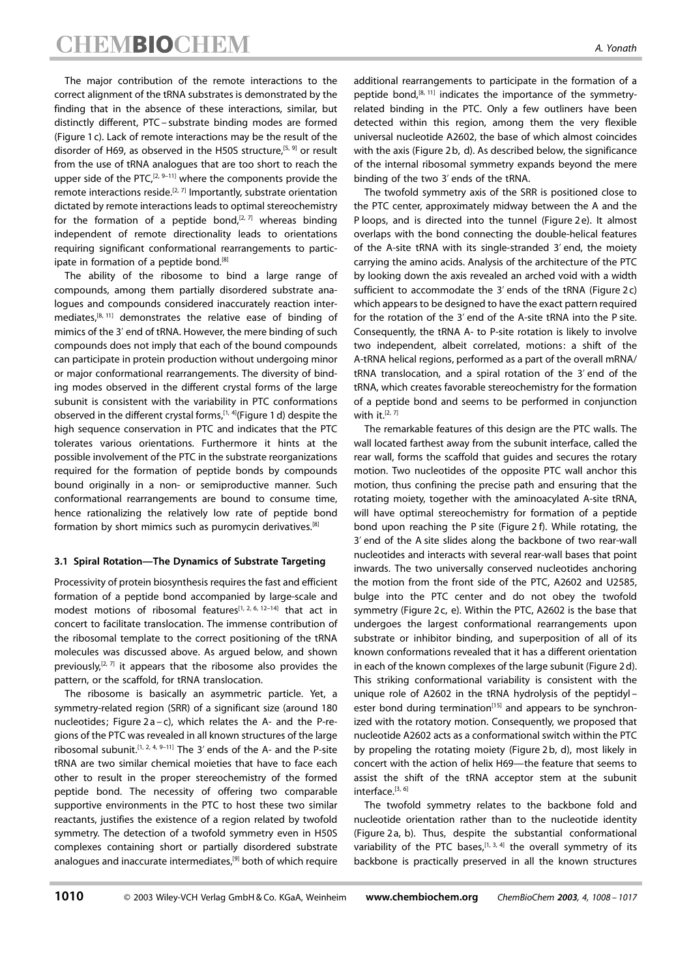The major contribution of the remote interactions to the correct alignment of the tRNA substrates is demonstrated by the finding that in the absence of these interactions, similar, but distinctly different, PTC - substrate binding modes are formed (Figure 1 c). Lack of remote interactions may be the result of the disorder of H69, as observed in the H50S structure,<sup>[5, 9]</sup> or result from the use of tRNA analogues that are too short to reach the upper side of the PTC,<sup>[2, 9-11]</sup> where the components provide the remote interactions reside.<sup>[2, 7]</sup> Importantly, substrate orientation dictated by remote interactions leads to optimal stereochemistry for the formation of a peptide bond,<sup>[2, 7]</sup> whereas binding independent of remote directionality leads to orientations requiring significant conformational rearrangements to participate in formation of a peptide bond.<sup>[8]</sup>

The ability of the ribosome to bind a large range of compounds, among them partially disordered substrate analogues and compounds considered inaccurately reaction intermediates,[8, 11] demonstrates the relative ease of binding of mimics of the 3' end of tRNA. However, the mere binding of such compounds does not imply that each of the bound compounds can participate in protein production without undergoing minor or major conformational rearrangements. The diversity of binding modes observed in the different crystal forms of the large subunit is consistent with the variability in PTC conformations observed in the different crystal forms,  $[1, 4]$ (Figure 1 d) despite the high sequence conservation in PTC and indicates that the PTC tolerates various orientations. Furthermore it hints at the possible involvement of the PTC in the substrate reorganizations required for the formation of peptide bonds by compounds bound originally in a non- or semiproductive manner. Such conformational rearrangements are bound to consume time, hence rationalizing the relatively low rate of peptide bond formation by short mimics such as puromycin derivatives.[8]

#### 3.1 Spiral Rotation–The Dynamics of Substrate Targeting

Processivity of protein biosynthesis requires the fast and efficient formation of a peptide bond accompanied by large-scale and modest motions of ribosomal features<sup>[1, 2, 6, 12-14]</sup> that act in concert to facilitate translocation. The immense contribution of the ribosomal template to the correct positioning of the tRNA molecules was discussed above. As argued below, and shown previously,<sup>[2, 7]</sup> it appears that the ribosome also provides the pattern, or the scaffold, for tRNA translocation.

The ribosome is basically an asymmetric particle. Yet, a symmetry-related region (SRR) of a significant size (around 180 nucleotides; Figure 2a-c), which relates the A- and the P-regions of the PTC was revealed in all known structures of the large ribosomal subunit.<sup>[1, 2, 4, 9-11]</sup> The 3' ends of the A- and the P-site tRNA are two similar chemical moieties that have to face each other to result in the proper stereochemistry of the formed peptide bond. The necessity of offering two comparable supportive environments in the PTC to host these two similar reactants, justifies the existence of a region related by twofold symmetry. The detection of a twofold symmetry even in H50S complexes containing short or partially disordered substrate analogues and inaccurate intermediates,<sup>[9]</sup> both of which require additional rearrangements to participate in the formation of a peptide bond, $[8, 11]$  indicates the importance of the symmetryrelated binding in the PTC. Only a few outliners have been detected within this region, among them the very flexible universal nucleotide A2602, the base of which almost coincides with the axis (Figure 2 b, d). As described below, the significance of the internal ribosomal symmetry expands beyond the mere binding of the two 3' ends of the tRNA.

The twofold symmetry axis of the SRR is positioned close to the PTC center, approximately midway between the A and the P loops, and is directed into the tunnel (Figure 2 e). It almost overlaps with the bond connecting the double-helical features of the A-site tRNA with its single-stranded 3' end, the moiety carrying the amino acids. Analysis of the architecture of the PTC by looking down the axis revealed an arched void with a width sufficient to accommodate the 3' ends of the tRNA (Figure 2c) which appears to be designed to have the exact pattern required for the rotation of the 3' end of the A-site tRNA into the P site. Consequently, the tRNA A- to P-site rotation is likely to involve two independent, albeit correlated, motions: a shift of the A-tRNA helical regions, performed as a part of the overall mRNA/ tRNA translocation, and a spiral rotation of the 3' end of the tRNA, which creates favorable stereochemistry for the formation of a peptide bond and seems to be performed in conjunction with it. $[2, 7]$ 

The remarkable features of this design are the PTC walls. The wall located farthest away from the subunit interface, called the rear wall, forms the scaffold that guides and secures the rotary motion. Two nucleotides of the opposite PTC wall anchor this motion, thus confining the precise path and ensuring that the rotating moiety, together with the aminoacylated A-site tRNA, will have optimal stereochemistry for formation of a peptide bond upon reaching the P site (Figure 2 f). While rotating, the 3' end of the A site slides along the backbone of two rear-wall nucleotides and interacts with several rear-wall bases that point inwards. The two universally conserved nucleotides anchoring the motion from the front side of the PTC, A2602 and U2585, bulge into the PTC center and do not obey the twofold symmetry (Figure 2 c, e). Within the PTC, A2602 is the base that undergoes the largest conformational rearrangements upon substrate or inhibitor binding, and superposition of all of its known conformations revealed that it has a different orientation in each of the known complexes of the large subunit (Figure 2 d). This striking conformational variability is consistent with the unique role of A2602 in the tRNA hydrolysis of the peptidyl  $$ ester bond during termination<sup>[15]</sup> and appears to be synchronized with the rotatory motion. Consequently, we proposed that nucleotide A2602 acts as a conformational switch within the PTC by propeling the rotating moiety (Figure 2 b, d), most likely in concert with the action of helix H69–the feature that seems to assist the shift of the tRNA acceptor stem at the subunit interface.<sup>[3, 6]</sup>

The twofold symmetry relates to the backbone fold and nucleotide orientation rather than to the nucleotide identity (Figure 2 a, b). Thus, despite the substantial conformational variability of the PTC bases,  $[1, 3, 4]$  the overall symmetry of its backbone is practically preserved in all the known structures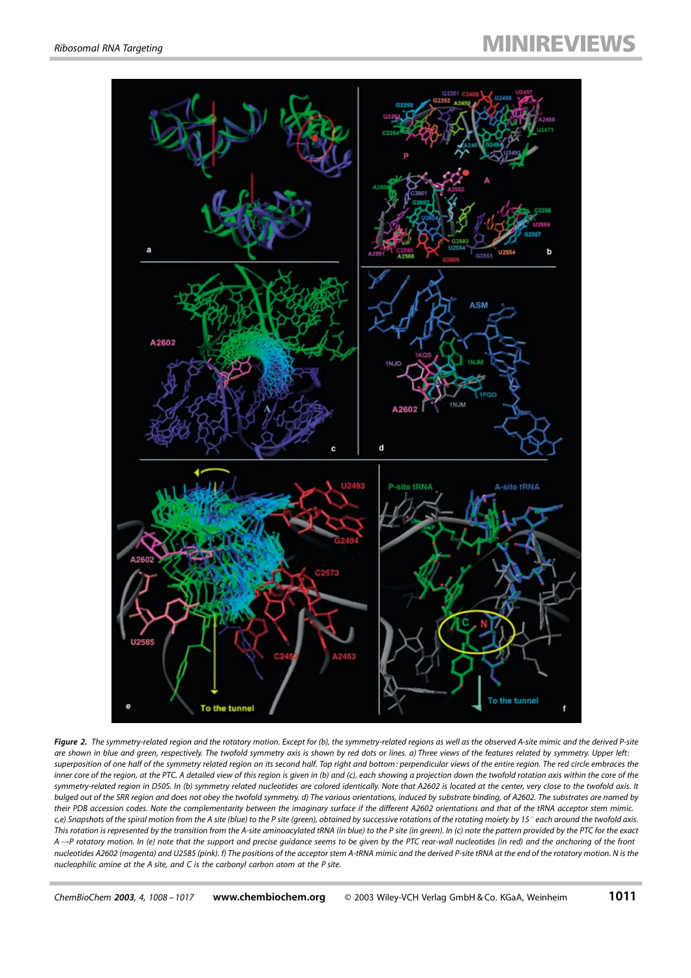

Figure 2. The symmetry-related region and the rotatory motion. Except for (b), the symmetry-related regions as well as the observed A-site mimic and the derived P-site are shown in blue and green, respectively. The twofold symmetry axis is shown by red dots or lines. a) Three views of the features related by symmetry. Upper left: superposition of one half of the symmetry related region on its second half. Top right and bottom: perpendicular views of the entire region. The red circle embraces the inner core of the region, at the PTC. A detailed view of this region is given in (b) and (c), each showing a projection down the twofold rotation axis within the core of the symmetry-related region in D50S. In (b) symmetry related nucleotides are colored identically. Note that A2602 is located at the center, very close to the twofold axis. It bulged out of the SRR region and does not obey the twofold symmetry. d) The various orientations, induced by substrate binding, of A2602. The substrates are named by their PDB accession codes. Note the complementarity between the imaginary surface if the different A2602 orientations and that of the tRNA acceptor stem mimic. c,e) Snapshots of the spiral motion from the A site (blue) to the P site (green), obtained by successive rotations of the rotating moiety by 15  $^{\circ}$  each around the twofold axis. This rotation is represented by the transition from the A-site aminoacylated tRNA (in blue) to the P site (in green). In (c) note the pattern provided by the PTC for the exact A →P rotatory motion. In (e) note that the support and precise guidance seems to be given by the PTC rear-wall nucleotides (in red) and the anchoring of the front nucleotides A2602 (magenta) and U2585 (pink). f) The positions of the acceptor stem A-tRNA mimic and the derived P-site tRNA at the end of the rotatory motion. N is the nucleophilic amine at the Asite, and C is the carbonyl carbon atom at the P site.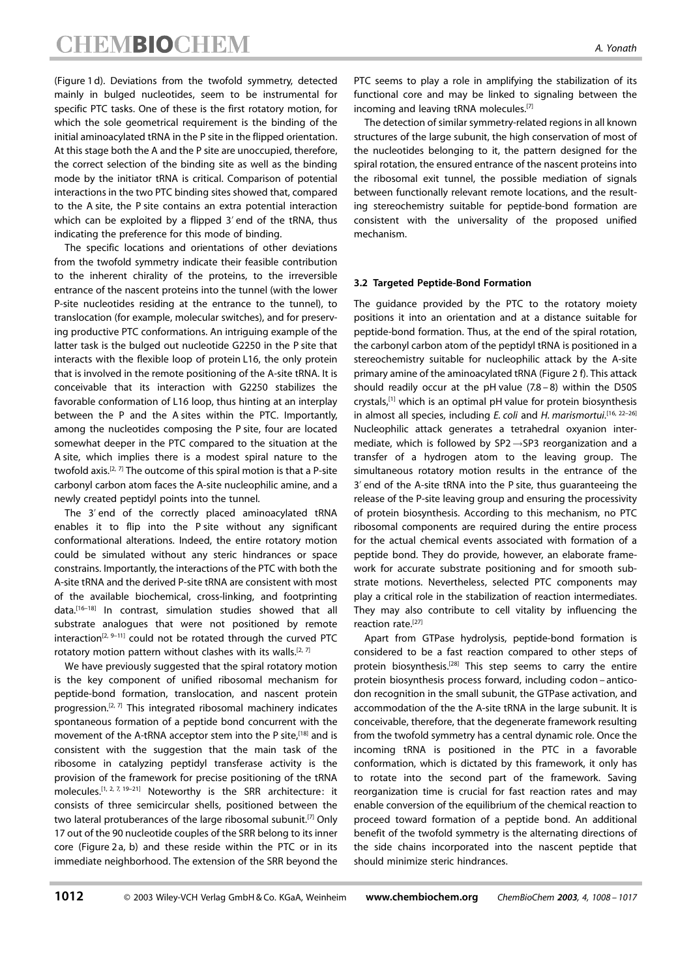(Figure 1 d). Deviations from the twofold symmetry, detected mainly in bulged nucleotides, seem to be instrumental for specific PTC tasks. One of these is the first rotatory motion, for which the sole geometrical requirement is the binding of the initial aminoacylated tRNA in the P site in the flipped orientation. At this stage both the A and the P site are unoccupied, therefore, the correct selection of the binding site as well as the binding mode by the initiator tRNA is critical. Comparison of potential interactions in the two PTC binding sites showed that, compared to the A site, the P site contains an extra potential interaction which can be exploited by a flipped 3' end of the tRNA, thus indicating the preference for this mode of binding.

The specific locations and orientations of other deviations from the twofold symmetry indicate their feasible contribution to the inherent chirality of the proteins, to the irreversible entrance of the nascent proteins into the tunnel (with the lower P-site nucleotides residing at the entrance to the tunnel), to translocation (for example, molecular switches), and for preserving productive PTC conformations. An intriguing example of the latter task is the bulged out nucleotide G2250 in the P site that interacts with the flexible loop of protein L16, the only protein that is involved in the remote positioning of the A-site tRNA. It is conceivable that its interaction with G2250 stabilizes the favorable conformation of L16 loop, thus hinting at an interplay between the P and the A sites within the PTC. Importantly, among the nucleotides composing the P site, four are located somewhat deeper in the PTC compared to the situation at the A site, which implies there is a modest spiral nature to the twofold axis.<sup>[2, 7]</sup> The outcome of this spiral motion is that a P-site carbonyl carbon atom faces the A-site nucleophilic amine, and a newly created peptidyl points into the tunnel.

The 3' end of the correctly placed aminoacylated tRNA enables it to flip into the P site without any significant conformational alterations. Indeed, the entire rotatory motion could be simulated without any steric hindrances or space constrains. Importantly, the interactions of the PTC with both the A-site tRNA and the derived P-site tRNA are consistent with most of the available biochemical, cross-linking, and footprinting data.[16±18] In contrast, simulation studies showed that all substrate analogues that were not positioned by remote interaction<sup>[2, 9-11]</sup> could not be rotated through the curved PTC rotatory motion pattern without clashes with its walls.<sup>[2, 7]</sup>

We have previously suggested that the spiral rotatory motion is the key component of unified ribosomal mechanism for peptide-bond formation, translocation, and nascent protein progression.<sup>[2, 7]</sup> This integrated ribosomal machinery indicates spontaneous formation of a peptide bond concurrent with the movement of the A-tRNA acceptor stem into the P site,<sup>[18]</sup> and is consistent with the suggestion that the main task of the ribosome in catalyzing peptidyl transferase activity is the provision of the framework for precise positioning of the tRNA molecules.<sup>[1, 2, 7, 19-21]</sup> Noteworthy is the SRR architecture: it consists of three semicircular shells, positioned between the two lateral protuberances of the large ribosomal subunit.<sup>[7]</sup> Only 17 out of the 90 nucleotide couples of the SRR belong to its inner core (Figure 2 a, b) and these reside within the PTC or in its immediate neighborhood. The extension of the SRR beyond the PTC seems to play a role in amplifying the stabilization of its functional core and may be linked to signaling between the incoming and leaving tRNA molecules.[7]

The detection of similar symmetry-related regions in all known structures of the large subunit, the high conservation of most of the nucleotides belonging to it, the pattern designed for the spiral rotation, the ensured entrance of the nascent proteins into the ribosomal exit tunnel, the possible mediation of signals between functionally relevant remote locations, and the resulting stereochemistry suitable for peptide-bond formation are consistent with the universality of the proposed unified mechanism.

#### 3.2 Targeted Peptide-Bond Formation

The guidance provided by the PTC to the rotatory moiety positions it into an orientation and at a distance suitable for peptide-bond formation. Thus, at the end of the spiral rotation, the carbonyl carbon atom of the peptidyl tRNA is positioned in a stereochemistry suitable for nucleophilic attack by the A-site primary amine of the aminoacylated tRNA (Figure 2 f). This attack should readily occur at the pH value  $(7.8 - 8)$  within the D50S crystals,[1] which is an optimal pH value for protein biosynthesis in almost all species, including E. coli and H. marismortui.[16, 22-26] Nucleophilic attack generates a tetrahedral oxyanion intermediate, which is followed by SP2 $\rightarrow$ SP3 reorganization and a transfer of a hydrogen atom to the leaving group. The simultaneous rotatory motion results in the entrance of the 3' end of the A-site tRNA into the P site, thus guaranteeing the release of the P-site leaving group and ensuring the processivity of protein biosynthesis. According to this mechanism, no PTC ribosomal components are required during the entire process for the actual chemical events associated with formation of a peptide bond. They do provide, however, an elaborate framework for accurate substrate positioning and for smooth substrate motions. Nevertheless, selected PTC components may play a critical role in the stabilization of reaction intermediates. They may also contribute to cell vitality by influencing the reaction rate.[27]

Apart from GTPase hydrolysis, peptide-bond formation is considered to be a fast reaction compared to other steps of protein biosynthesis.<sup>[28]</sup> This step seems to carry the entire protein biosynthesis process forward, including codon-anticodon recognition in the small subunit, the GTPase activation, and accommodation of the the A-site tRNA in the large subunit. It is conceivable, therefore, that the degenerate framework resulting from the twofold symmetry has a central dynamic role. Once the incoming tRNA is positioned in the PTC in a favorable conformation, which is dictated by this framework, it only has to rotate into the second part of the framework. Saving reorganization time is crucial for fast reaction rates and may enable conversion of the equilibrium of the chemical reaction to proceed toward formation of a peptide bond. An additional benefit of the twofold symmetry is the alternating directions of the side chains incorporated into the nascent peptide that should minimize steric hindrances.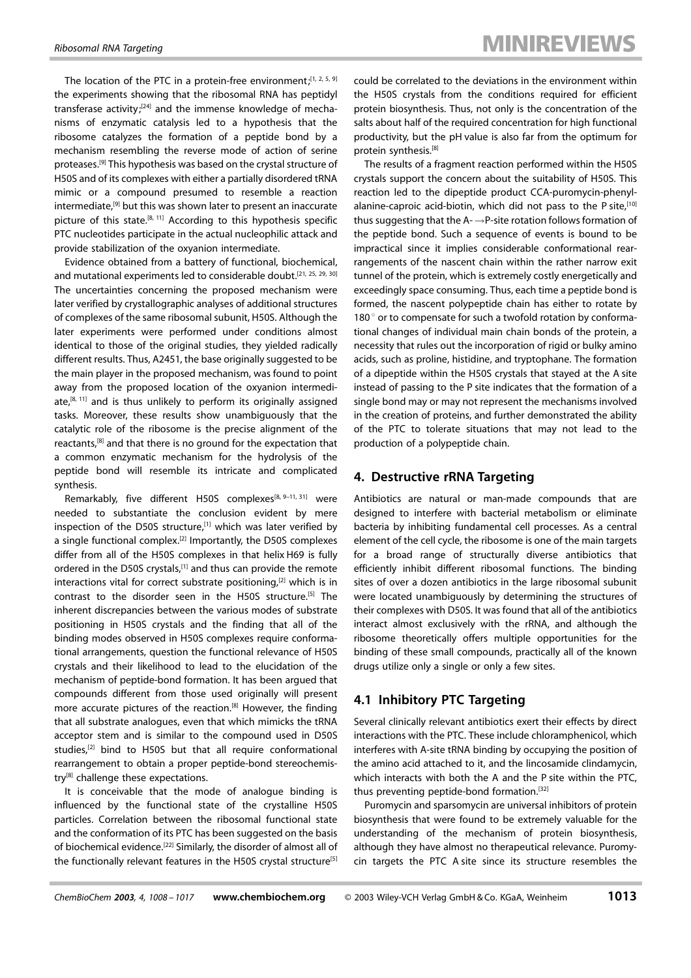The location of the PTC in a protein-free environment;<sup>[1, 2, 5, 9]</sup> the experiments showing that the ribosomal RNA has peptidyl transferase activity;<sup>[24]</sup> and the immense knowledge of mechanisms of enzymatic catalysis led to a hypothesis that the ribosome catalyzes the formation of a peptide bond by a mechanism resembling the reverse mode of action of serine proteases.<sup>[9]</sup> This hypothesis was based on the crystal structure of H50S and of its complexes with either a partially disordered tRNA mimic or a compound presumed to resemble a reaction intermediate,<sup>[9]</sup> but this was shown later to present an inaccurate picture of this state.<sup>[8, 11]</sup> According to this hypothesis specific PTC nucleotides participate in the actual nucleophilic attack and provide stabilization of the oxyanion intermediate.

Evidence obtained from a battery of functional, biochemical, and mutational experiments led to considerable doubt.<sup>[21, 25, 29, 30]</sup> The uncertainties concerning the proposed mechanism were later verified by crystallographic analyses of additional structures of complexes of the same ribosomal subunit, H50S. Although the later experiments were performed under conditions almost identical to those of the original studies, they yielded radically different results. Thus, A2451, the base originally suggested to be the main player in the proposed mechanism, was found to point away from the proposed location of the oxyanion intermediate, $[8, 11]$  and is thus unlikely to perform its originally assigned tasks. Moreover, these results show unambiguously that the catalytic role of the ribosome is the precise alignment of the reactants,[8] and that there is no ground for the expectation that a common enzymatic mechanism for the hydrolysis of the peptide bond will resemble its intricate and complicated synthesis.

Remarkably, five different H50S complexes<sup>[8, 9-11, 31]</sup> were needed to substantiate the conclusion evident by mere inspection of the D50S structure,<sup>[1]</sup> which was later verified by a single functional complex.[2] Importantly, the D50S complexes differ from all of the H50S complexes in that helix H69 is fully ordered in the D50S crystals,<sup>[1]</sup> and thus can provide the remote interactions vital for correct substrate positioning,[2] which is in contrast to the disorder seen in the H50S structure.[5] The inherent discrepancies between the various modes of substrate positioning in H50S crystals and the finding that all of the binding modes observed in H50S complexes require conformational arrangements, question the functional relevance of H50S crystals and their likelihood to lead to the elucidation of the mechanism of peptide-bond formation. It has been argued that compounds different from those used originally will present more accurate pictures of the reaction.[8] However, the finding that all substrate analogues, even that which mimicks the tRNA acceptor stem and is similar to the compound used in D50S studies,<sup>[2]</sup> bind to H50S but that all require conformational rearrangement to obtain a proper peptide-bond stereochemistry<sup>[8]</sup> challenge these expectations.

It is conceivable that the mode of analogue binding is influenced by the functional state of the crystalline H50S particles. Correlation between the ribosomal functional state and the conformation of its PTC has been suggested on the basis of biochemical evidence.[22] Similarly, the disorder of almost all of the functionally relevant features in the H50S crystal structure<sup>[5]</sup> could be correlated to the deviations in the environment within the H50S crystals from the conditions required for efficient protein biosynthesis. Thus, not only is the concentration of the salts about half of the required concentration for high functional productivity, but the pH value is also far from the optimum for protein synthesis.[8]

The results of a fragment reaction performed within the H50S crystals support the concern about the suitability of H50S. This reaction led to the dipeptide product CCA-puromycin-phenylalanine-caproic acid-biotin, which did not pass to the P site,<sup>[10]</sup> thus suggesting that the A-  $\rightarrow$  P-site rotation follows formation of the peptide bond. Such a sequence of events is bound to be impractical since it implies considerable conformational rearrangements of the nascent chain within the rather narrow exit tunnel of the protein, which is extremely costly energetically and exceedingly space consuming. Thus, each time a peptide bond is formed, the nascent polypeptide chain has either to rotate by 180 $^{\circ}$  or to compensate for such a twofold rotation by conformational changes of individual main chain bonds of the protein, a necessity that rules out the incorporation of rigid or bulky amino acids, such as proline, histidine, and tryptophane. The formation of a dipeptide within the H50S crystals that stayed at the A site instead of passing to the P site indicates that the formation of a single bond may or may not represent the mechanisms involved in the creation of proteins, and further demonstrated the ability of the PTC to tolerate situations that may not lead to the production of a polypeptide chain.

#### 4. Destructive rRNA Targeting

Antibiotics are natural or man-made compounds that are designed to interfere with bacterial metabolism or eliminate bacteria by inhibiting fundamental cell processes. As a central element of the cell cycle, the ribosome is one of the main targets for a broad range of structurally diverse antibiotics that efficiently inhibit different ribosomal functions. The binding sites of over a dozen antibiotics in the large ribosomal subunit were located unambiguously by determining the structures of their complexes with D50S. It was found that all of the antibiotics interact almost exclusively with the rRNA, and although the ribosome theoretically offers multiple opportunities for the binding of these small compounds, practically all of the known drugs utilize only a single or only a few sites.

#### 4.1 Inhibitory PTC Targeting

Several clinically relevant antibiotics exert their effects by direct interactions with the PTC. These include chloramphenicol, which interferes with A-site tRNA binding by occupying the position of the amino acid attached to it, and the lincosamide clindamycin, which interacts with both the A and the P site within the PTC, thus preventing peptide-bond formation.[32]

Puromycin and sparsomycin are universal inhibitors of protein biosynthesis that were found to be extremely valuable for the understanding of the mechanism of protein biosynthesis, although they have almost no therapeutical relevance. Puromycin targets the PTC A site since its structure resembles the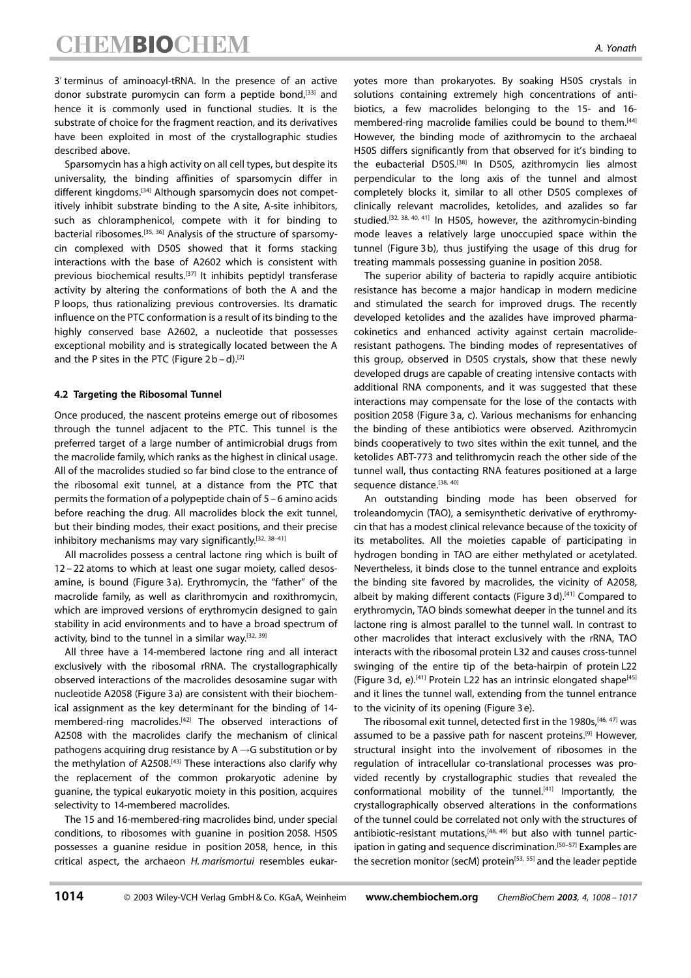## **CHEMBIOCHEM**

3' terminus of aminoacyl-tRNA. In the presence of an active donor substrate puromycin can form a peptide bond,<sup>[33]</sup> and hence it is commonly used in functional studies. It is the substrate of choice for the fragment reaction, and its derivatives have been exploited in most of the crystallographic studies described above.

Sparsomycin has a high activity on all cell types, but despite its universality, the binding affinities of sparsomycin differ in different kingdoms.<sup>[34]</sup> Although sparsomycin does not competitively inhibit substrate binding to the A site, A-site inhibitors, such as chloramphenicol, compete with it for binding to bacterial ribosomes.[35, 36] Analysis of the structure of sparsomycin complexed with D50S showed that it forms stacking interactions with the base of A2602 which is consistent with previous biochemical results.[37] It inhibits peptidyl transferase activity by altering the conformations of both the A and the P loops, thus rationalizing previous controversies. Its dramatic influence on the PTC conformation is a result of its binding to the highly conserved base A2602, a nucleotide that possesses exceptional mobility and is strategically located between the A and the P sites in the PTC (Figure  $2b-d$ ).<sup>[2]</sup>

#### 4.2 Targeting the Ribosomal Tunnel

Once produced, the nascent proteins emerge out of ribosomes through the tunnel adjacent to the PTC. This tunnel is the preferred target of a large number of antimicrobial drugs from the macrolide family, which ranks as the highest in clinical usage. All of the macrolides studied so far bind close to the entrance of the ribosomal exit tunnel, at a distance from the PTC that permits the formation of a polypeptide chain of  $5 - 6$  amino acids before reaching the drug. All macrolides block the exit tunnel, but their binding modes, their exact positions, and their precise inhibitory mechanisms may vary significantly.<sup>[32, 38-41]</sup>

All macrolides possess a central lactone ring which is built of 12 - 22 atoms to which at least one sugar moiety, called desosamine, is bound (Figure 3 a). Erythromycin, the "father" of the macrolide family, as well as clarithromycin and roxithromycin, which are improved versions of erythromycin designed to gain stability in acid environments and to have a broad spectrum of activity, bind to the tunnel in a similar way.<sup>[32, 39]</sup>

All three have a 14-membered lactone ring and all interact exclusively with the ribosomal rRNA. The crystallographically observed interactions of the macrolides desosamine sugar with nucleotide A2058 (Figure 3 a) are consistent with their biochemical assignment as the key determinant for the binding of 14 membered-ring macrolides.[42] The observed interactions of A2508 with the macrolides clarify the mechanism of clinical pathogens acquiring drug resistance by  $\mathsf{A}\!\rightarrow\!\mathsf{G}$  substitution or by the methylation of A2508.<sup>[43]</sup> These interactions also clarify why the replacement of the common prokaryotic adenine by guanine, the typical eukaryotic moiety in this position, acquires selectivity to 14-membered macrolides.

The 15 and 16-membered-ring macrolides bind, under special conditions, to ribosomes with guanine in position 2058. H50S possesses a guanine residue in position 2058, hence, in this critical aspect, the archaeon H. marismortui resembles eukaryotes more than prokaryotes. By soaking H50S crystals in solutions containing extremely high concentrations of antibiotics, a few macrolides belonging to the 15- and 16 membered-ring macrolide families could be bound to them.<sup>[44]</sup> However, the binding mode of azithromycin to the archaeal H50S differs significantly from that observed for it's binding to the eubacterial D50S.[38] In D50S, azithromycin lies almost perpendicular to the long axis of the tunnel and almost completely blocks it, similar to all other D50S complexes of clinically relevant macrolides, ketolides, and azalides so far studied.[32, 38, 40, 41] In H50S, however, the azithromycin-binding mode leaves a relatively large unoccupied space within the tunnel (Figure 3 b), thus justifying the usage of this drug for treating mammals possessing guanine in position 2058.

The superior ability of bacteria to rapidly acquire antibiotic resistance has become a major handicap in modern medicine and stimulated the search for improved drugs. The recently developed ketolides and the azalides have improved pharmacokinetics and enhanced activity against certain macrolideresistant pathogens. The binding modes of representatives of this group, observed in D50S crystals, show that these newly developed drugs are capable of creating intensive contacts with additional RNA components, and it was suggested that these interactions may compensate for the lose of the contacts with position 2058 (Figure 3 a, c). Various mechanisms for enhancing the binding of these antibiotics were observed. Azithromycin binds cooperatively to two sites within the exit tunnel, and the ketolides ABT-773 and telithromycin reach the other side of the tunnel wall, thus contacting RNA features positioned at a large sequence distance.<sup>[38, 40]</sup>

An outstanding binding mode has been observed for troleandomycin (TAO), a semisynthetic derivative of erythromycin that has a modest clinical relevance because of the toxicity of its metabolites. All the moieties capable of participating in hydrogen bonding in TAO are either methylated or acetylated. Nevertheless, it binds close to the tunnel entrance and exploits the binding site favored by macrolides, the vicinity of A2058, albeit by making different contacts (Figure 3d).<sup>[41]</sup> Compared to erythromycin, TAO binds somewhat deeper in the tunnel and its lactone ring is almost parallel to the tunnel wall. In contrast to other macrolides that interact exclusively with the rRNA, TAO interacts with the ribosomal protein L32 and causes cross-tunnel swinging of the entire tip of the beta-hairpin of protein L22 (Figure 3d, e).<sup>[41]</sup> Protein L22 has an intrinsic elongated shape<sup>[45]</sup> and it lines the tunnel wall, extending from the tunnel entrance to the vicinity of its opening (Figure 3 e).

The ribosomal exit tunnel, detected first in the 1980s, [46, 47] was assumed to be a passive path for nascent proteins.<sup>[9]</sup> However, structural insight into the involvement of ribosomes in the regulation of intracellular co-translational processes was provided recently by crystallographic studies that revealed the conformational mobility of the tunnel.[41] Importantly, the crystallographically observed alterations in the conformations of the tunnel could be correlated not only with the structures of antibiotic-resistant mutations, $[48, 49]$  but also with tunnel participation in gating and sequence discrimination.<sup>[50-57]</sup> Examples are the secretion monitor (secM) protein<sup>[53, 55]</sup> and the leader peptide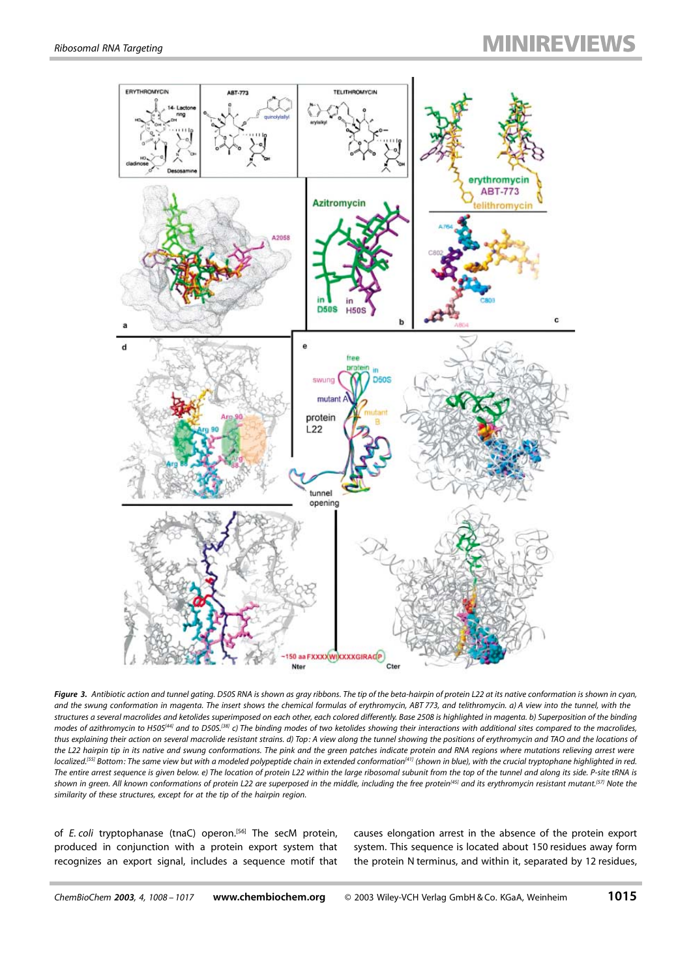

Figure 3. Antibiotic action and tunnel gating. D50S RNA is shown as gray ribbons. The tip of the beta-hairpin of protein L22 at its native conformation is shown in cyan, and the swung conformation in magenta. The insert shows the chemical formulas of erythromycin, ABT 773, and telithromycin. a) A view into the tunnel, with the structures a several macrolides and ketolides superimposed on each other, each colored differently. Base 2508 is highlighted in magenta. b) Superposition of the binding modes of azithromycin to H50S<sup>[44]</sup> and to D50S.<sup>[38]</sup> c) The binding modes of two ketolides showing their interactions with additional sites compared to the macrolides, thus explaining their action on several macrolide resistant strains. d) Top: Aview along the tunnel showing the positions of erythromycin and TAO and the locations of the L22 hairpin tip in its native and swung conformations. The pink and the green patches indicate protein and RNA regions where mutations relieving arrest were localized.<sup>[55]</sup> Bottom: The same view but with a modeled polypeptide chain in extended conformation<sup>[41]</sup> (shown in blue), with the crucial tryptophane highlighted in red. The entire arrest sequence is given below. e) The location of protein L22 within the large ribosomal subunit from the top of the tunnel and along its side. P-site tRNA is shown in green. All known conformations of protein L22 are superposed in the middle, including the free protein<sup>[45]</sup> and its erythromycin resistant mutant.<sup>[57]</sup> Note the similarity of these structures, except for at the tip of the hairpin region.

of *E. coli* tryptophanase (tnaC) operon.<sup>[56]</sup> The secM protein, produced in conjunction with a protein export system that recognizes an export signal, includes a sequence motif that causes elongation arrest in the absence of the protein export system. This sequence is located about 150 residues away form the protein N terminus, and within it, separated by 12 residues,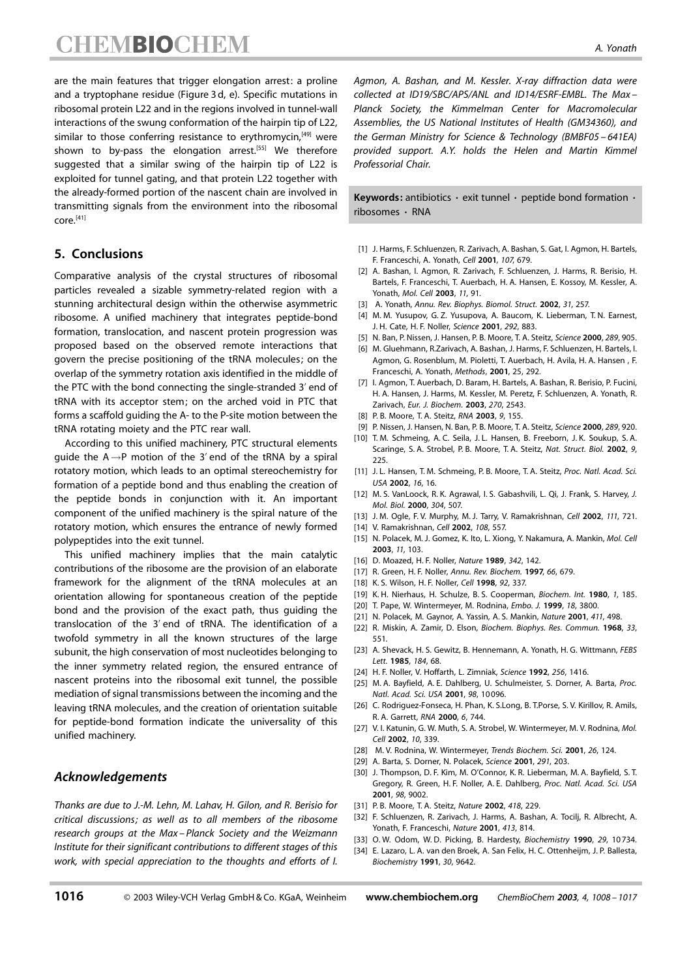## **CHEMBIOCHEM**

are the main features that trigger elongation arrest: a proline and a tryptophane residue (Figure 3 d, e). Specific mutations in ribosomal protein L22 and in the regions involved in tunnel-wall interactions of the swung conformation of the hairpin tip of L22, similar to those conferring resistance to erythromycin,<sup>[49]</sup> were shown to by-pass the elongation arrest.<sup>[55]</sup> We therefore suggested that a similar swing of the hairpin tip of L22 is exploited for tunnel gating, and that protein L22 together with the already-formed portion of the nascent chain are involved in transmitting signals from the environment into the ribosomal core.[41]

#### 5. Conclusions

Comparative analysis of the crystal structures of ribosomal particles revealed a sizable symmetry-related region with a stunning architectural design within the otherwise asymmetric ribosome. A unified machinery that integrates peptide-bond formation, translocation, and nascent protein progression was proposed based on the observed remote interactions that govern the precise positioning of the tRNA molecules; on the overlap of the symmetry rotation axis identified in the middle of the PTC with the bond connecting the single-stranded 3' end of tRNA with its acceptor stem; on the arched void in PTC that forms a scaffold guiding the A- to the P-site motion between the tRNA rotating moiety and the PTC rear wall.

According to this unified machinery, PTC structural elements guide the  $A \rightarrow P$  motion of the 3' end of the tRNA by a spiral rotatory motion, which leads to an optimal stereochemistry for formation of a peptide bond and thus enabling the creation of the peptide bonds in conjunction with it. An important component of the unified machinery is the spiral nature of the rotatory motion, which ensures the entrance of newly formed polypeptides into the exit tunnel.

This unified machinery implies that the main catalytic contributions of the ribosome are the provision of an elaborate framework for the alignment of the tRNA molecules at an orientation allowing for spontaneous creation of the peptide bond and the provision of the exact path, thus guiding the translocation of the 3' end of tRNA. The identification of a twofold symmetry in all the known structures of the large subunit, the high conservation of most nucleotides belonging to the inner symmetry related region, the ensured entrance of nascent proteins into the ribosomal exit tunnel, the possible mediation of signal transmissions between the incoming and the leaving tRNA molecules, and the creation of orientation suitable for peptide-bond formation indicate the universality of this unified machinery.

### Acknowledgements

Thanks are due to J.-M. Lehn, M. Lahav, H. Gilon, and R. Berisio for critical discussions; as well as to all members of the ribosome research groups at the Max-Planck Society and the Weizmann Institute for their significant contributions to different stages of this work, with special appreciation to the thoughts and efforts of I. Agmon, A. Bashan, and M. Kessler. X-ray diffraction data were collected at ID19/SBC/APS/ANL and ID14/ESRF-EMBL. The Max-Planck Society, the Kimmelman Center for Macromolecular Assemblies, the US National Institutes of Health (GM34360), and the German Ministry for Science & Technology (BMBF05  $-641EA$ ) provided support. A.Y. holds the Helen and Martin Kimmel Professorial Chair.

Keywords: antibiotics  $\cdot$  exit tunnel  $\cdot$  peptide bond formation  $\cdot$ ribosomes · RNA

- [1] J. Harms, F. Schluenzen, R. Zarivach, A. Bashan, S. Gat, I. Agmon, H. Bartels, F. Franceschi, A. Yonath, Cell 2001, 107, 679.
- [2] A. Bashan, I. Agmon, R. Zarivach, F. Schluenzen, J. Harms, R. Berisio, H. Bartels, F. Franceschi, T. Auerbach, H. A. Hansen, E. Kossoy, M. Kessler, A. Yonath, Mol. Cell 2003, 11, 91.
- [3] A. Yonath, Annu. Rev. Biophys. Biomol. Struct. 2002, 31, 257.
- [4] M. M. Yusupov, G. Z. Yusupova, A. Baucom, K. Lieberman, T. N. Earnest, J. H. Cate, H. F. Noller, Science 2001, 292, 883.
- [5] N. Ban, P. Nissen, J. Hansen, P. B. Moore, T. A. Steitz, Science 2000, 289, 905.
- [6] M. Gluehmann, R.Zarivach, A. Bashan, J. Harms, F. Schluenzen, H. Bartels, I. Agmon, G. Rosenblum, M. Pioletti, T. Auerbach, H. Avila, H. A. Hansen , F. Franceschi, A. Yonath, Methods, 2001, 25, 292.
- [7] I. Agmon, T. Auerbach, D. Baram, H. Bartels, A. Bashan, R. Berisio, P. Fucini, H. A. Hansen, J. Harms, M. Kessler, M. Peretz, F. Schluenzen, A. Yonath, R. Zarivach, Eur. J. Biochem. 2003, 270, 2543.
- [8] P. B. Moore, T. A. Steitz, RNA 2003, 9, 155.
- [9] P. Nissen, J. Hansen, N. Ban, P. B. Moore, T. A. Steitz, Science 2000, 289, 920.
- [10] T. M. Schmeing, A. C. Seila, J. L. Hansen, B. Freeborn, J. K. Soukup, S. A. Scaringe, S. A. Strobel, P. B. Moore, T. A. Steitz, Nat. Struct. Biol. 2002, 9, 225.
- [11] J. L. Hansen, T. M. Schmeing, P. B. Moore, T. A. Steitz, Proc. Natl. Acad. Sci. USA 2002, 16, 16.
- [12] M. S. VanLoock, R. K. Agrawal, I. S. Gabashvili, L. Qi, J. Frank, S. Harvey, J. Mol. Biol. 2000, 304, 507.
- [13] J. M. Ogle, F. V. Murphy, M. J. Tarry, V. Ramakrishnan, Cell 2002, 111, 721.
- [14] V. Ramakrishnan, Cell 2002, 108, 557.
- [15] N. Polacek, M. J. Gomez, K. Ito, L. Xiong, Y. Nakamura, A. Mankin, Mol. Cell 2003, 11, 103.
- [16] D. Moazed, H. F. Noller, Nature 1989, 342, 142.
- [17] R. Green, H. F. Noller, Annu. Rev. Biochem. 1997, 66, 679.
- [18] K. S. Wilson, H. F. Noller, Cell 1998, 92, 337.
- [19] K. H. Nierhaus, H. Schulze, B. S. Cooperman, Biochem. Int. 1980, 1, 185.
- [20] T. Pape, W. Wintermeyer, M. Rodnina, Embo. J. 1999, 18, 3800.
- [21] N. Polacek, M. Gaynor, A. Yassin, A. S. Mankin, Nature 2001, 411, 498.
- [22] R. Miskin, A. Zamir, D. Elson, Biochem. Biophys. Res. Commun. 1968, 33, 551.
- [23] A. Shevack, H. S. Gewitz, B. Hennemann, A. Yonath, H. G. Wittmann, FEBS Lett. 1985, 184, 68.
- [24] H. F. Noller, V. Hoffarth, L. Zimniak, Science 1992, 256, 1416.
- [25] M. A. Bayfield, A. E. Dahlberg, U. Schulmeister, S. Dorner, A. Barta, Proc. Natl. Acad. Sci. USA 2001, 98, 10 096.
- [26] C. Rodriguez-Fonseca, H. Phan, K. S.Long, B. T.Porse, S. V. Kirillov, R. Amils, R. A. Garrett, RNA 2000, 6, 744.
- [27] V. I. Katunin, G. W. Muth, S. A. Strobel, W. Wintermeyer, M. V. Rodnina, Mol. Cell 2002, 10, 339.
- [28] M. V. Rodnina, W. Wintermeyer, Trends Biochem. Sci. 2001, 26, 124.
- [29] A. Barta, S. Dorner, N. Polacek, Science 2001, 291, 203.
- [30] J. Thompson, D. F. Kim, M. O'Connor, K. R. Lieberman, M. A. Bayfield, S. T. Gregory, R. Green, H. F. Noller, A. E. Dahlberg, Proc. Natl. Acad. Sci. USA 2001, 98, 9002.
- [31] P. B. Moore, T. A. Steitz, Nature 2002, 418, 229.
- [32] F. Schluenzen, R. Zarivach, J. Harms, A. Bashan, A. Tocilj, R. Albrecht, A. Yonath, F. Franceschi, Nature 2001, 413, 814.
- [33] O.W. Odom, W.D. Picking, B. Hardesty, Biochemistry 1990, 29, 10734. [34] E. Lazaro, L. A. van den Broek, A. San Felix, H. C. Ottenheijm, J. P. Ballesta, Biochemistry 1991, 30, 9642.